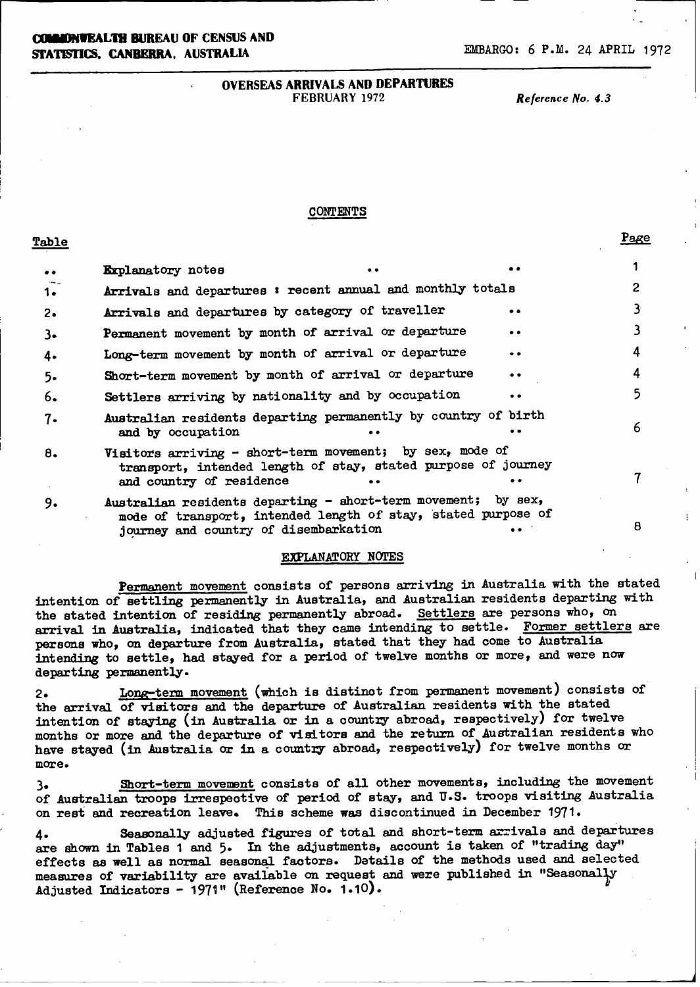**(IJEW4WEALIM BUREAU OF CENSUS AND STATISTICS. CANBERRA, AUSTRALIA EMBARGO: 6 P.M. 24 APRIL 1972** 

### OVERSEAS ARRIVALS AND DEPARTURES FEBRUARY 1972 *Reference No. 4.3*

### **CONTENTS**

**Table** Page 2014 **Page 2014** 

| $\bullet\bullet$ | <b>Explanatory</b> notes                                                                                                                                                |           |                |
|------------------|-------------------------------------------------------------------------------------------------------------------------------------------------------------------------|-----------|----------------|
| 1.               | Arrivals and departures : recent annual and monthly totals                                                                                                              |           | $\overline{2}$ |
| $2\cdot$         | Arrivals and departures by category of traveller                                                                                                                        | . .       | 3              |
| $3-$             | Permanent movement by month of arrival or departure                                                                                                                     | $\bullet$ | 3              |
| 4.               | Long-term movement by month of arrival or departure                                                                                                                     | $\bullet$ | 4              |
| $5 -$            | Short-term movement by month of arrival or departure                                                                                                                    | $\bullet$ | 4              |
| 6.               | Settlers arriving by nationality and by occupation                                                                                                                      |           | 5              |
| 7.               | Australian residents departing permanently by country of birth<br>and by occupation                                                                                     |           | 6              |
| 8.               | Visitors arriving - short-term movement; by sex, mode of<br>transport, intended length of stay, stated purpose of journey<br>and country of residence                   |           |                |
| 9.               | Australian residents departing - short-term movement; by sex,<br>mode of transport, intended length of stay, stated purpose of<br>journey and country of disembarkation |           | 8              |

### EXPLANATORY NOTES

Permanent movement consists of persons arriving in Australia with the stated intention of settling permanently in Australia, and Australian residents departing with the stated intention of residing permanently abroad. Settlers are persons who, on arrival in Australia, indicated that they came intending to settle. Former settlers are persons who, on departure from Australia, stated that they had come to Australia intending to settle, had stayed for a period of twelve months or more, and were now departing permanently.

2. Long-term movement (which is distinct from permanent movement) consists of the arrival of visitors and the departure of Australian residents with the stated intention of staying (in Australia or in a country abroad, respectively) for twelve months or more and the departure of visitors and the return of Australian residents who have stayed (in Australia or in a country abroad, respectively) for twelve months or more.

3. Short-term movement consists of all other movements, including the movement of Australian troops irrespective of period of stay, and U.S. troops visiting Australia on rest and recreation leave. This scheme was discontinued in December 1971.

4. Seasonally adjusted figures of total and short-term arrivals and departures are shown in Tables 1 and 5. In the adjustments, account is taken of "trading day" effects as well as normal seasonal factors. Details of the methods used and selected measures of variability are available on request and were published in "SeasonalJy Adjusted Indicators - 1971" (Reference No. 1.10).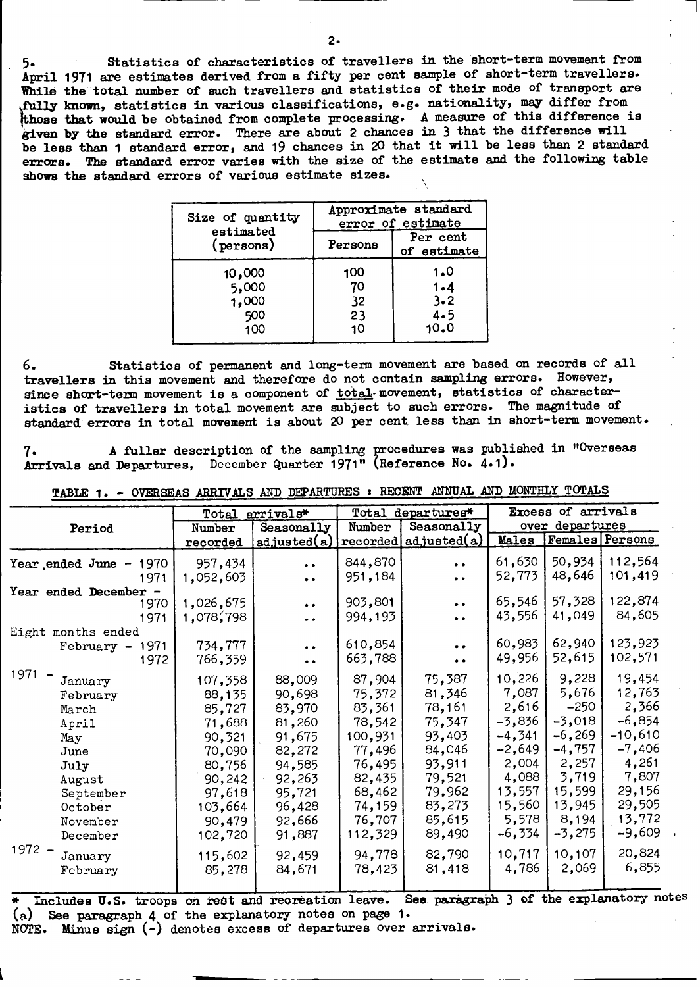**5.** Statistics of characteristics of travellers in the short-term movement from **April 1971** are estimates derived from a fifty per cent sample of short-term travellers. While the total number of such travellers and statistics of their mode of transport are **fully mown,** statistics in various classifications, e.g. nationality, may differ from **those** that would be obtained from complete processing. A measure of this difference is **given by** the standard error. There are about **2** chances in 3 that the difference will be less **than 1** standard error, and 19 chances in 20 that it will be less than **2 standard** errors. The standard error varies with the size of the estimate and the following table shows the standard errors of various estimate sizes.

| Size of quantity                       | Approximate standard<br>error of estimate |                                  |  |  |  |  |
|----------------------------------------|-------------------------------------------|----------------------------------|--|--|--|--|
| estimated<br>(persons)                 | Persons                                   | Per cent<br>of estimate          |  |  |  |  |
| 10,000<br>5,000<br>1,000<br>500<br>100 | 100<br>70<br>32<br>23<br>10               | 1.0<br>1.4<br>3.2<br>4.5<br>10.0 |  |  |  |  |

6. Statistics of permanent and long-term movement are based on records of all travellers in this movement and therefore do not contain sampling errors. However, since short-term movement is a component of total-movement, statistics of characteristics of travellers in total movement are subject to such errors. The magnitude of **standard** errors in **total** movement is about 20 per cent less than in short-term movement.

**7. A** fuller description of the sampling procedures was published in "Overseas Arrivals and Departures, December Quarter 1971" (Reference No. 4.1).

|                        | Total<br>arrivals* |                      |         | Total departures*     | Excess of arrivals |                        |           |  |
|------------------------|--------------------|----------------------|---------|-----------------------|--------------------|------------------------|-----------|--|
| Period                 | Number             | Seasonally           | Number  | Seasonally            |                    | over departures        |           |  |
|                        | recorded           | adjusted(a)          |         | recorded adjusted (a) | Males              | <b>Females</b> Persons |           |  |
| Year ended June - 1970 | 957,434            | $\bullet$            | 844,870 | $\bullet$             | 61,630             | 50,934                 | 112,564   |  |
| 1971                   | 1,052,603          | $\bullet$            | 951,184 | $\bullet$             | 52,773             | 48,646                 | 101,419   |  |
| Year ended December -  |                    |                      |         |                       |                    |                        |           |  |
| 1970                   | 1,026,675          | $\ddot{\phantom{0}}$ | 903,801 | $\bullet$ $\bullet$   | 65,546             | 57,328                 | 122,874   |  |
| 1971                   | 1,078,798          | $\bullet$            | 994,193 | $\bullet$ $\bullet$   | 43,556             | 41,049                 | 84,605    |  |
| Eight months ended     |                    |                      |         |                       |                    |                        |           |  |
| 1971<br>$February -$   | 734,777            | . .                  | 610,854 | $\bullet$             | 60,983             | 62,940                 | 123,923   |  |
| 1972                   | 766,359            |                      | 663,788 | $\bullet$ $\bullet$   | 49,956             | 52,615                 | 102,571   |  |
| 1971<br>January        | 107,358            | 88,009               | 87,904  | 75,387                | 10,226             | 9,228                  | 19,454    |  |
| February               | 88,135             | 90,698               | 75,372  | 81,346                | 7,087              | 5,676                  | 12,763    |  |
| March                  | 85,727             | 83,970               | 83,361  | 78,161                | 2,616              | $-250$                 | 2,366     |  |
| April                  | 71,688             | 81,260               | 78,542  | 75,347                | $-3,836$           | $-3,018$               | $-6,854$  |  |
| May                    | 90,321             | 91,675               | 100,931 | 93,403                | $-4,341$           | $-6,269$               | $-10,610$ |  |
| June                   | 70,090             | 82,272               | 77,496  | 84,046                | $-2,649$           | $-4,757$               | $-7,406$  |  |
| July                   | 80,756             | 94,585               | 76,495  | 93,911                | 2,004              | 2,257                  | 4,261     |  |
| August                 | 90,242             | 92,263               | 82,435  | 79,521                | 4,088              | 3,719                  | 7,807     |  |
| September              | 97,618             | 95,721               | 68,462  | 79,962                | 13,557             | 15,599                 | 29,156    |  |
| October                | 103,664            | 96,428               | 74,159  | 83,273                | 15,560             | 13,945                 | 29,505    |  |
| November               | 90,479             | 92,666               | 76,707  | 85,615                | 5,578              | 8,194                  | 13,772    |  |
| December               | 102,720            | 91,887               | 112,329 | 89,490                | $-6,334$           | $-3,275$               | $-9,609$  |  |
| $1972 -$<br>January    | 115,602            | 92,459               | 94,778  | 82,790                | 10,717             | 10,107                 | 20,824    |  |
|                        | 85,278             | 84,671               | 78,423  | 81,418                | 4,786              | 2,069                  | 6,855     |  |
| February               |                    |                      |         |                       |                    |                        |           |  |

**TABLE** 1. - **OVERSEAS ARRIVALS AND** DEPARTURES : RECENT **ANNNUAL AND** MONTHLY TOTALS

L-- \* includes U.S. troops on rest and recreation leave. See parsgr aph 3 of the explanatory **notes**(a) See paragraph 4 of the explanatory notes on page **1.** NOTE. Minus sign (-) denotes excess of departures over arrivals.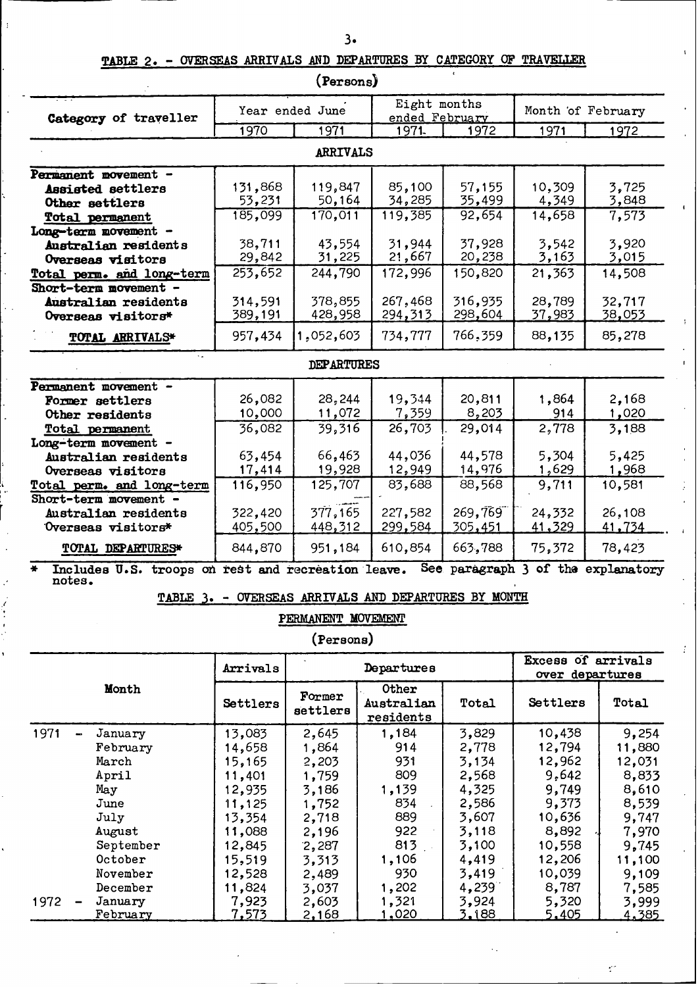## TABLE 2. - OVERSEAS ARRIVALS AND DEPARTURES BY CATEGORY OF TRAVELLER

 $\ddot{\phantom{1}}$ 

|                                                                           |                    | (Persons)          |                                                      |                    |                                       |                    |
|---------------------------------------------------------------------------|--------------------|--------------------|------------------------------------------------------|--------------------|---------------------------------------|--------------------|
| Category of traveller                                                     |                    | Year ended June    | Eight months<br>ended February                       |                    | Month of February                     |                    |
|                                                                           | 1970               | 1971               | 1971.                                                | 1972               | 1971                                  | 1972               |
|                                                                           |                    | <b>ARRIVALS</b>    |                                                      |                    |                                       |                    |
| Permanent movement -                                                      |                    |                    |                                                      |                    |                                       |                    |
| Assisted settlers                                                         | 131,868<br>53,231  | 119,847<br>50,164  | 85,100<br>34,285                                     | 57,155<br>35,499   | 10,309<br>4,349                       | 3,725<br>3,848     |
| Other settlers<br>Total permanent                                         | 185,099            | 170,011            | 119,385                                              | 92,654             | 14,658                                | 7,573              |
| Long-term movement -                                                      |                    |                    |                                                      |                    |                                       |                    |
| Australian residents                                                      | 38,711             | 43,554             | 31,944                                               | 37,928             | 3,542                                 | 3,920              |
| Overseas visitors                                                         | 29,842             | 31,225             | 21,667                                               | 20,238             | 3,163                                 | 3,015              |
| Total perm. and long-term                                                 | 253,652            | 244,790            | 172,996                                              | 150,820            | 21,363                                | 14,508             |
| Short-term movement -                                                     |                    |                    |                                                      |                    |                                       |                    |
| Australian residents<br>Overseas visitors*                                | 314,591<br>389,191 | 378,855<br>428,958 | 267,468<br>294,313                                   | 316,935<br>298,604 | 28,789<br>37,983                      | 32,717<br>38,053   |
|                                                                           |                    |                    |                                                      |                    |                                       |                    |
| <b>TOTAL ARRIVALS*</b>                                                    | 957,434            | 1,052,603          | 734,777                                              | 766,359            | 88,135                                | 85,278             |
|                                                                           |                    | DEPARTURES         |                                                      |                    |                                       |                    |
| Permanent movement -                                                      |                    |                    |                                                      |                    |                                       |                    |
| Former settlers                                                           | 26,082             | 28,244             | 19,344                                               | 20,811             | 1,864                                 | 2,168              |
| Other residents                                                           | 10,000             | 11,072             | 7,359                                                | 8,203              | 914                                   | 1,020              |
| Total permanent<br>Long-term movement -                                   | 36,082             | 39,316             | 26,703                                               | 29,014             | 2,778                                 | 3,188              |
| Australian residents                                                      | 63,454             | 66,463             | 44,036                                               | 44,578             | 5,304                                 | 5,425              |
| Overseas visitors                                                         | 17,414             | 19,928             | 12,949                                               | 14,976             | 1,629                                 | 1,968              |
| Total perm. and long-term                                                 | 116,950            | 125,707            | 83,688                                               | 88,568             | 9,711                                 | 10,581             |
| Short-term movement -                                                     |                    |                    |                                                      |                    |                                       |                    |
| Australian residents                                                      | 322,420            | 377,165            | 227,582                                              | 269,769            | 24,332                                | 26,108             |
| Overseas visitors*                                                        | 405,500            | 448,312            | 299,584                                              | <u>305,451</u>     | 41,329                                | 41,734             |
| TOTAL DEPARTURES*                                                         | 844,870            | 951,184            | 610,854                                              | 663,788            | 75,372                                | 78,423             |
| Includes U.S. troops on rest and recreation leave.<br>$\bullet$<br>notes. |                    |                    |                                                      | See paragraph 3    |                                       | of the explanatory |
|                                                                           |                    |                    | TABLE 3. - OVERSEAS ARRIVALS AND DEPARTURES BY MONTH |                    |                                       |                    |
|                                                                           |                    | PERMANENT MOVEMENT |                                                      |                    |                                       |                    |
|                                                                           |                    | (Persons)          |                                                      |                    |                                       |                    |
|                                                                           | Arrivals           |                    | Departures                                           |                    | Excess of arrivals<br>over departures |                    |
| Month                                                                     | Settlers           | Former<br>settlers | Other<br>Australian<br>residents                     | Total              | Settlers                              | Total              |
| 1971<br>January                                                           | 13,083             | 2,645              | 1,184                                                | 3,829              | 10,438                                | 9,254              |
| February                                                                  | 14,658             | 1,864              | 914                                                  | 2,778              | 12,794                                | 11,880             |
| March                                                                     | 15,165             | 2,203              | 931                                                  | 3,134              | 12,962                                | 12,031             |
| April<br>May                                                              | 11,401<br>12,935   | 1,759<br>3,186     | 809<br>1,139                                         | 2,568<br>4,325     | 9,642<br>9,749                        | 8,833<br>8,610     |
| June                                                                      | 11,125             | 1,752              | 834                                                  | 2,586              | 9,373                                 | 8,539              |
| July                                                                      | 13,354             | 2,718              | 889                                                  | 3,607              | 10,636                                | 9,747              |
| August                                                                    | 11,088             | 2,196              | 922                                                  | 3,118              | 8,892                                 | 7,970              |
| September                                                                 | 12,845             | 2,287              | 813                                                  | 3,100              | 10,558                                | 9,745              |
| October                                                                   | 15,519             | 3,313              | 1,106                                                | 4,419              | 12,206                                | 11,100             |
| November<br>December                                                      | 12,528             | 2,489              | 930                                                  | 3,419              | 10,039                                | 9,109              |
| January<br>1972                                                           | 11,824<br>7,923    | 3,037<br>2,603     | 1,202<br>1,321                                       | 4,239<br>3,924     | 8,787<br>5,320                        | 7,585<br>3,999     |
| <u>February</u>                                                           | <u>7,573</u>       | <u>2,168</u>       | <u>1,020</u>                                         | 3,188              | 5,405                                 | <u>4,385</u>       |

 $\mathbf{r}$ 

 $\tilde{C}$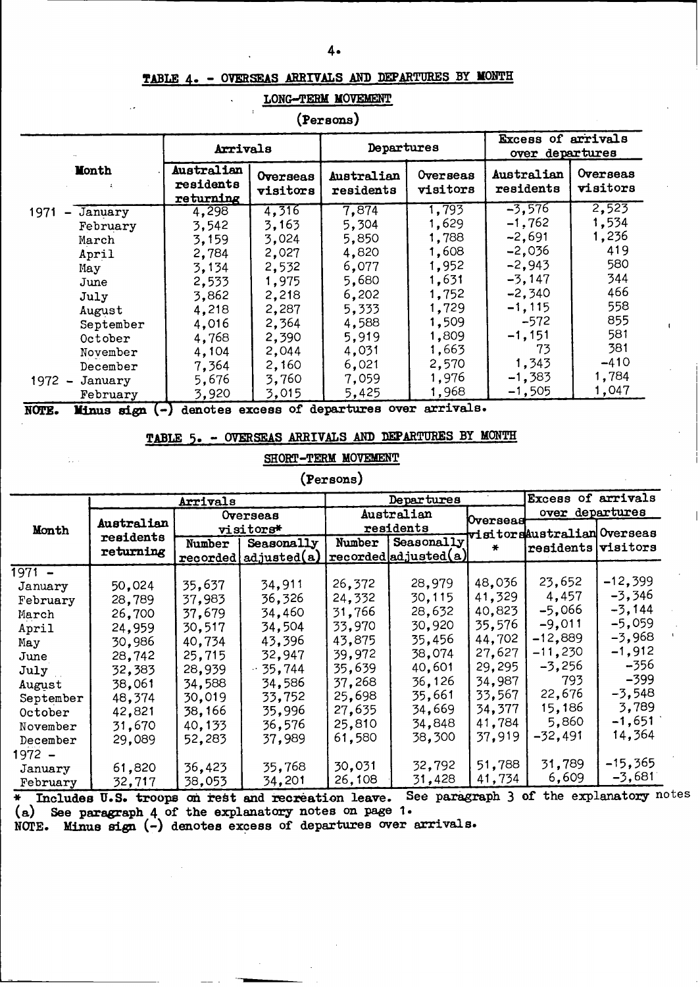### **TABLE 4-** - **OVERSEAS ARRIVALS AND DEPARTURES BY MONTH**

#### **LONG-TERM MOVEMENT**

**(Persons)**

|                                             | Arrivals                             |                      | Departures              |                      | Excess of arrivals<br>over departures |                      |  |
|---------------------------------------------|--------------------------------------|----------------------|-------------------------|----------------------|---------------------------------------|----------------------|--|
| <b>Month</b>                                | Australian<br>residents<br>returning | Overseas<br>visitors | Australian<br>residents | Overseas<br>visitors | Australian<br>residents               | Overseas<br>visitors |  |
| 1971<br>January<br>$\overline{\phantom{0}}$ | 4,298                                | 4,316                | 7,874                   | 1,793                | $-3,576$                              | 2,523                |  |
| February                                    | 3,542                                | 3,163                | 5,304                   | 1,629                | $-1.762$                              | 1,534                |  |
| March                                       | 3,159                                | 3,024                | 5,850                   | 1,788                | $-2,691$                              | 1,236                |  |
| April                                       | 2,784                                | 2,027                | 4,820                   | 1,608                | $-2,036$                              | 419                  |  |
| May                                         | 3,134                                | 2,532                | 6,077                   | 1,952                | $-2,943$                              | 580                  |  |
| June                                        | 2,533                                | 1,975                | 5,680                   | 1,631                | $-3,147$                              | 344                  |  |
| July                                        | 3,862                                | 2,218                | 6,202                   | 1,752                | $-2,340$                              | 466                  |  |
| August                                      | 4,218                                | 2,287                | 5,333                   | 1,729                | $-1, 115$                             | 558                  |  |
| September                                   | 4,016                                | 2,364                | 4,588                   | 1,509                | $-572$                                | 855                  |  |
| October                                     | 4,768                                | 2,390                | 5,919                   | 1,809                | $-1,151$                              | 581                  |  |
| November                                    | 4,104                                | 2,044                | 4,031                   | 1,663                | 73                                    | 381                  |  |
| December                                    | 7,364                                | 2,160                | 6,021                   | 2,570                | 1,343                                 | $-410$               |  |
| $1972 -$<br>January                         | 5,676                                | 3,760                | 7,059                   | 1,976                | $-1,383$                              | 1,784                |  |
| February                                    | 3,920                                | 3,015                | 5,425                   | 1,968                | $-1,505$                              | 1,047                |  |

**NOTE. Minus sign (- denotes excess of departures over arrivals.**

### **TABLE 5. - OVERSEAS ARRIVALS AND DEPARTURES BY MONTH**

### **SHORT-TEEM MOVEMENT**

### **(Persons)**

|           |            | Arrivals |                        |        | <b>Departures</b>     |          | Excess of arrivals          |           |
|-----------|------------|----------|------------------------|--------|-----------------------|----------|-----------------------------|-----------|
|           | Australian |          | Overseas               |        | Australian            | Overseas | over departures             |           |
| Month     | residents  |          | visitors*              |        | residents             |          | visitorsAustralian Overseas |           |
|           | returning  | Number   | Seasonally             |        | Number   Seasonally   | ₩        | residents visitors          |           |
|           |            |          | recovered  adjusted(a) |        | reordered adjusted(a) |          |                             |           |
| $1971 -$  |            |          |                        |        |                       |          |                             |           |
| January   | 50,024     | 35,637   | 34,911                 | 26,372 | 28,979                | 48,036   | 23,652                      | $-12,399$ |
| February  | 28,789     | 37,983   | 36,326                 | 24,332 | 30,115                | 41,329   | 4,457                       | -3,346    |
| March     | 26,700     | 37.679   | 34,460                 | 31,766 | 28,632                | 40,823   | $-5,066$                    | $-3,144$  |
| April     | 24,959     | 30,517   | 34,504                 | 33,970 | 30,920                | 35,576   | $-9,011$                    | $-5,059$  |
| Мау       | 30,986     | 40.734   | 43,396                 | 43.875 | 35,456                | 44,702   | $-12,889$                   | $-3,968$  |
| June      | 28,742     | 25,715   | 32,947                 | 39,972 | 38,074                | 27,627   | $-11,230$                   | $-1,912$  |
| July      | 32,383     | 28,939   | $-35,744$              | 35,639 | 40,601                | 29,295   | $-3,256$                    | -356      |
| August    | 38,061     | 34.588   | 34.586                 | 37.268 | 36,126                | 34,987   | 793                         | -399      |
| September | 48,374     | 30,019   | 33,752                 | 25,698 | 35,661                | 33.567   | 22,676                      | $-3,548$  |
| October   | 42,821     | 38,166   | 35,996                 | 27,635 | 34,669                | 34,377   | 15,186                      | 3,789     |
| November  | 31,670     | 40.133   | 36,576                 | 25,810 | 34,848                | 41,784   | 5,860                       | $-1,651$  |
| December  | 29,089     | 52,283   | 37,989                 | 61,580 | 38,300                | 37,919   | -32,491                     | 14,364    |
| 1972 –    |            |          |                        |        |                       |          |                             |           |
| January   | 61,820     | 36,423   | 35,768                 | 30,031 | 32,792                | 51,788   | 31,789                      | $-15,365$ |
| February  | 32,717     | 38,053   | 34,201                 | 26,108 | 31,428                | 41,734   | 6,609                       | $-3,681$  |

**\* Includes U.S. troops on kebt** and recreation leave. **See paragr (a) See paragraph 4 of the explanatory notes on page 1.** aph 3 of the explanatory notes

**NOTE. Minus sign** (-) **denotes excess of departures over arrivals.**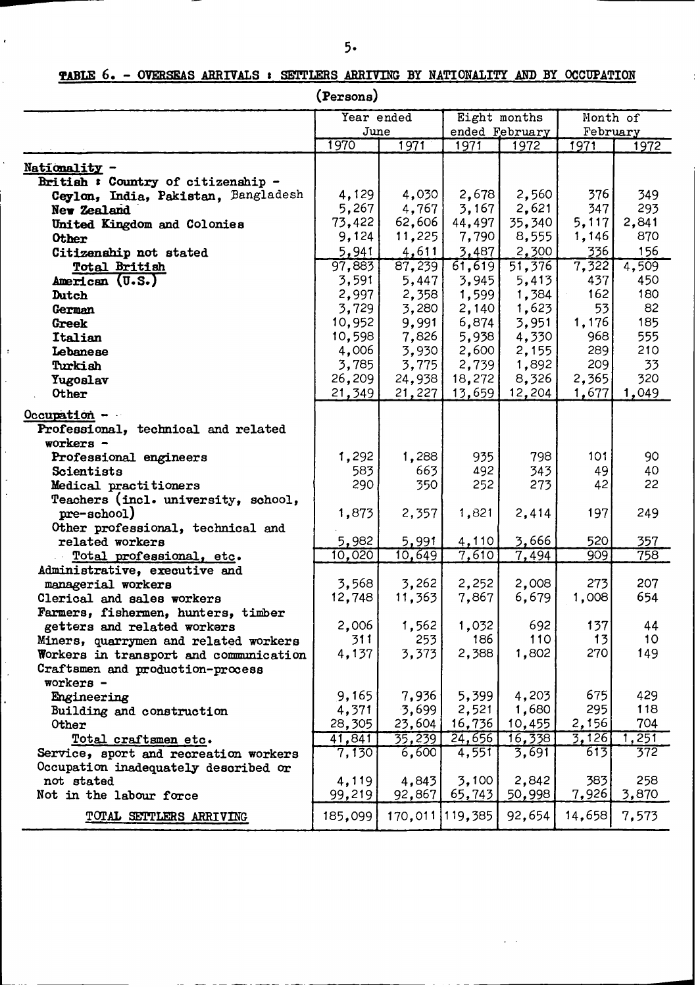## **TABLE 6.** - **OVERSEAS** ARRIVALS : **SETTLERS** ARRIVING BY NATIONALITY AND BY **OCCUPATION**

**(Persons)**

|                                                                            | Year ended |        | Eight months    |                 | Month of     |            |
|----------------------------------------------------------------------------|------------|--------|-----------------|-----------------|--------------|------------|
|                                                                            |            | June   |                 | ended February  | February     |            |
|                                                                            | 1970       | 1971   | 1971            | 1972            | 1971         | 1972       |
|                                                                            |            |        |                 |                 |              |            |
| Nationality -                                                              |            |        |                 |                 |              |            |
| British: Country of citizenship -                                          |            |        | 2,678           |                 |              |            |
| Ceylon, India, Pakistan, Bangladesh                                        | 4,129      | 4,030  |                 | 2,560           | 376          | 349        |
| New Zealand                                                                | 5,267      | 4,767  | 3,167           | 2,621           | 347          | 293        |
| United Kingdom and Colonies                                                | 73,422     | 62,606 | 44,497          | 35,340          | 5,117        | 2,841      |
| <b>Other</b>                                                               | 9,124      | 11,225 | 7,790           | 8,555           | 1,146        | 870        |
| Citizenship not stated                                                     | 5,941      | 4,611  | 3,487           | 2,300           | 336          | 156        |
| Total British                                                              | 97,883     | 87,239 | 61,619          | 51,376          | 7,322        | 4,509      |
| American (U.S.)                                                            | 3,591      | 5,447  | 3,945           | 5,413           | 437          | 450        |
| Dutch                                                                      | 2,997      | 2,358  | 1,599           | 1,384           | 162          | 180        |
| German                                                                     | 3,729      | 3,280  | 2,140           | 1,623           | 53           | 82         |
| Greek                                                                      | 10,952     | 9,991  | 6,874           | 3,951           | 1,176        | 185        |
| Italian                                                                    | 10,598     | 7,826  | 5,938           | 4,330           | 968          | 555        |
| Lebanese                                                                   | 4,006      | 3,930  | 2,600           | 2,155           | 289          | 210        |
| Turkish                                                                    | 3,785      | 3,775  | 2,739           | 1,892           | 209          | 33         |
| Yugoslav                                                                   | 26,209     | 24,938 | 18,272          | 8,326           | 2,365        | 320        |
| Other                                                                      | 21,349     | 21,227 | 13,659          | 12,204          | 1,677        | 1,049      |
| $Occ$ upation -                                                            |            |        |                 |                 |              |            |
| Professional, technical and related                                        |            |        |                 |                 |              |            |
| workers -                                                                  |            |        |                 |                 |              |            |
| Professional engineers                                                     | 1,292      | 1,288  | 935             | 798             | 101          | 90         |
| Scientists                                                                 | 583        | 663    | 492             | 343             | 49           | 40         |
| Medical practitioners                                                      | 290        | 350    | 252             | 273             | 42           | 22         |
| Teachers (incl. university, school,                                        |            |        |                 |                 |              |            |
| pre-school)                                                                | 1,873      | 2,357  | 1,821           | 2,414           | 197          | 249        |
| Other professional, technical and                                          |            |        |                 |                 |              |            |
| related workers                                                            | 5,982      | 5,991  | 4,110           | 3,666           | 520          | 357        |
|                                                                            | 10,020     | 10,649 | 7,610           | 7,494           | 909          | 758        |
| Total professional, etc.<br>Administrative, executive and                  |            |        |                 |                 |              |            |
| managerial workers                                                         | 3,568      | 3,262  | 2,252           | 2,008           | 273          | 207        |
| Clerical and sales workers                                                 | 12,748     | 11,363 | 7,867           | 6,679           | 1,008        | 654        |
|                                                                            |            |        |                 |                 |              |            |
| Farmers, fishermen, hunters, timber<br>getters and related workers         | 2,006      | 1,562  | 1,032           | 692             | 137          | 44         |
|                                                                            | 311        | 253    | 186             | 110             | 13           | 10         |
| Miners, quarrymen and related workers                                      | 4,137      | 3,373  | 2,388           | 1,802           | 270          | 149        |
| Workers in transport and communication<br>Craftsmen and production-process |            |        |                 |                 |              |            |
| workers -                                                                  |            |        |                 |                 |              |            |
|                                                                            | 9,165      | 7,936  | 5,399           | 4,203           | 675          | 429        |
| Engineering                                                                | 4,371      | 3,699  | 2,521           | 1,680           | 295          | 118        |
| Building and construction                                                  | 28,305     |        | 16,736          | 10,455          | 2,156        | 704        |
| Other                                                                      |            | 23,604 |                 |                 |              |            |
| Total craftsmen etc.                                                       | 41,841     | 35,239 | 24,656          | 16,338<br>3,691 | 3,126<br>613 | 251<br>372 |
| Service, sport and recreation workers                                      | 7,130      | 6,600  | 4,551           |                 |              |            |
| Occupation inadequately described or                                       |            |        |                 |                 |              |            |
| not stated                                                                 | 4,119      | 4,843  | 3,100           | 2,842           | 383          | 258        |
| Not in the labour force                                                    | 99,219     | 92,867 | 65,743          | 50,998          | 7,926        | 3,870      |
| TOTAL SETTLERS ARRIVING                                                    | 185,099    |        | 170,011 119,385 | 92,654          | 14,658       | 7,573      |

I <del>a compositor de la participa de la compositor de la composición de la composición de la composición de la comp</del>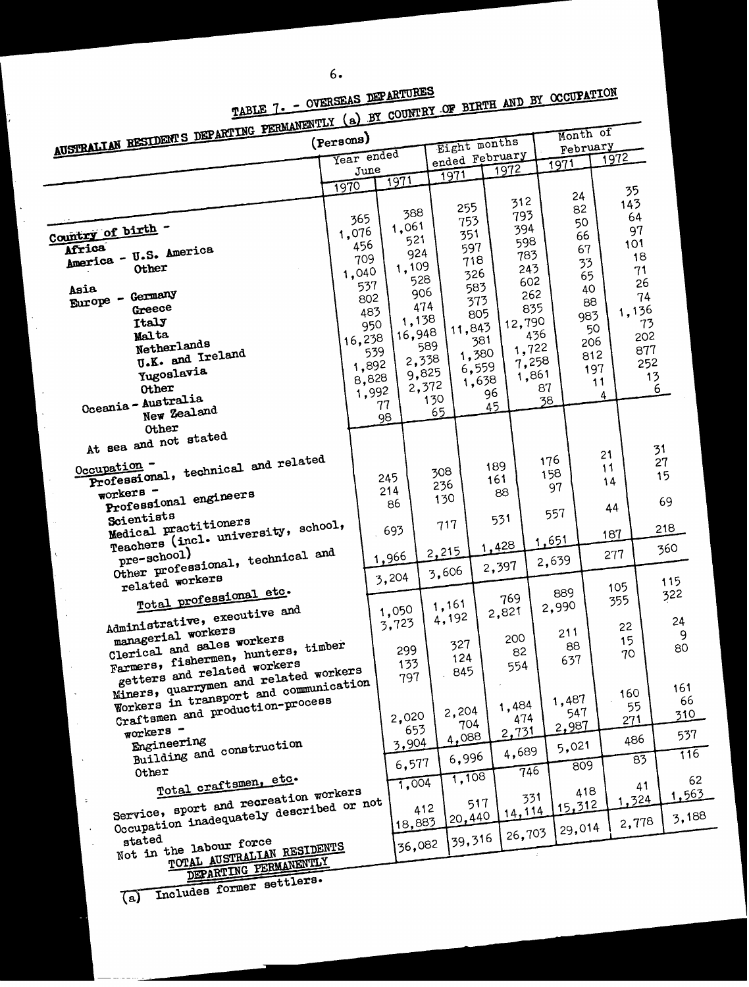ķ.

| AUSTRALIAN RESIDENTS DEPARTING PERMANENTLY (a) BY COUNTRY OF BIRTH AND BY OCCUPATION<br>Year ended<br>ended February<br>1972<br>1971<br>1972<br>June<br>1971<br>1971<br>1970<br>35<br>24<br>312<br>143<br>255<br>82<br>388<br>793<br>64<br>365<br>753<br>50<br>1,061<br>394<br>Country of birth -<br>97<br>1,076<br>351<br>66<br>521<br>598<br>101<br>456<br>597<br>Africa<br>67<br>America - U.S. America<br>924<br>783<br>18<br>709<br>718<br>33<br>1,109<br>243<br>Other<br>71<br>1,040<br>326<br>65<br>528<br>602<br>26<br>537<br>583<br>40<br>906<br>262<br>Europe - Germany<br>74<br>802<br>373<br>88<br>474<br>835<br>Greece<br>1,136<br>483<br>805<br>983<br>1,138<br>Italy<br>12,790<br>73<br>950<br>11,843<br>50<br>16,948<br>Malta<br>436<br>202<br>16,238<br>381<br>206<br>Netherlands<br>589<br>1,722<br>877<br>539<br>1,380<br>U.K. and Ireland<br>812<br>2,338<br>7,258<br>252<br>1,892<br>6,559<br>197<br>Yugoslavia<br>9,825<br>1,861<br>13<br>8,828<br>1,638<br>11<br>2,372<br>87<br>Other<br>6<br>1,992<br>96<br>4<br>130<br>Oceania - Australia<br>38<br>77<br>45<br>New Zealand<br>65<br>98<br>Other<br>At sea and not stated<br>31<br>21<br>Professional, technical and related<br>176<br>27<br>Occupation -<br>189<br>11<br>308<br>158<br>15<br>245<br>161<br>14<br>236<br>97<br>214<br>workers -<br>88<br>Professional engineers<br>130<br>69<br>86<br>44<br>557<br>Scientists<br>531<br>Medical practitioners<br>717<br>Teachers (incl. university, school,<br>218<br>693<br>187<br>1,651<br>1,428<br>360<br>2,215<br>Other professional, technical and<br>277<br><u>1,966</u><br>2,639<br>2,397<br>3,606<br>3,204<br>related workers<br>115<br>105<br>Total professional etc.<br>889<br>322<br>769<br>355<br>1,161<br>2,990<br>1,050<br>Administrative, executive and<br>2,821<br>4,192<br>24<br>3,723<br>22<br>managerial workers<br>211<br>9<br>200<br>Clerical and sales workers<br>15<br>327<br>Farmers, fishermen, hunters, timber<br>88<br>80<br>299<br>82<br>70<br>124<br>637<br>133<br>getters and related workers<br>554<br>845<br>Miners, quarrymen and related workers<br>797<br>Workers in transport and communication<br>161<br>160<br>1,487<br>Craftsmen and production-process<br>1,484<br>55<br>2,204<br>547<br>310<br>2,020<br>474<br>271<br>704<br>2,987<br>workers -<br>653<br>2,731<br>4,088<br>486<br>Engineering<br>3,904<br>5,021<br>Building and construction<br>4,689<br>6,996<br>$\overline{83}$<br>6,577<br>809<br>746<br>Other<br>1,108<br>Total craftsmen, etc.<br>1,004<br>41<br>418<br>Service, sport and recreation workers<br>1,563<br>331<br>.324<br>$\ddot{\,}$<br>517<br>Occupation inadequately described or not<br>15,312<br>412<br>14,114<br>3,188<br>20,440<br>2,778<br>18,883<br>29,014<br>26,703<br>39,316<br>stated<br>Not in the labour force<br>36,082<br>TOTAL AUSTRALIAN RESIDENTS<br>DEPARTING PERMANENTLY<br>Includes former settlers.<br>(a) |      |  |  |  |     |
|--------------------------------------------------------------------------------------------------------------------------------------------------------------------------------------------------------------------------------------------------------------------------------------------------------------------------------------------------------------------------------------------------------------------------------------------------------------------------------------------------------------------------------------------------------------------------------------------------------------------------------------------------------------------------------------------------------------------------------------------------------------------------------------------------------------------------------------------------------------------------------------------------------------------------------------------------------------------------------------------------------------------------------------------------------------------------------------------------------------------------------------------------------------------------------------------------------------------------------------------------------------------------------------------------------------------------------------------------------------------------------------------------------------------------------------------------------------------------------------------------------------------------------------------------------------------------------------------------------------------------------------------------------------------------------------------------------------------------------------------------------------------------------------------------------------------------------------------------------------------------------------------------------------------------------------------------------------------------------------------------------------------------------------------------------------------------------------------------------------------------------------------------------------------------------------------------------------------------------------------------------------------------------------------------------------------------------------------------------------------------------------------------------------------------------------------------------------------------------------------------------------------------------------------------------------------------------------------------------------------------------------------------------------------------------------------------------------------------------------------------------------------------------------------------------------------------------------------------------------------------------------------------------------------------|------|--|--|--|-----|
|                                                                                                                                                                                                                                                                                                                                                                                                                                                                                                                                                                                                                                                                                                                                                                                                                                                                                                                                                                                                                                                                                                                                                                                                                                                                                                                                                                                                                                                                                                                                                                                                                                                                                                                                                                                                                                                                                                                                                                                                                                                                                                                                                                                                                                                                                                                                                                                                                                                                                                                                                                                                                                                                                                                                                                                                                                                                                                                          |      |  |  |  |     |
|                                                                                                                                                                                                                                                                                                                                                                                                                                                                                                                                                                                                                                                                                                                                                                                                                                                                                                                                                                                                                                                                                                                                                                                                                                                                                                                                                                                                                                                                                                                                                                                                                                                                                                                                                                                                                                                                                                                                                                                                                                                                                                                                                                                                                                                                                                                                                                                                                                                                                                                                                                                                                                                                                                                                                                                                                                                                                                                          |      |  |  |  |     |
|                                                                                                                                                                                                                                                                                                                                                                                                                                                                                                                                                                                                                                                                                                                                                                                                                                                                                                                                                                                                                                                                                                                                                                                                                                                                                                                                                                                                                                                                                                                                                                                                                                                                                                                                                                                                                                                                                                                                                                                                                                                                                                                                                                                                                                                                                                                                                                                                                                                                                                                                                                                                                                                                                                                                                                                                                                                                                                                          |      |  |  |  |     |
|                                                                                                                                                                                                                                                                                                                                                                                                                                                                                                                                                                                                                                                                                                                                                                                                                                                                                                                                                                                                                                                                                                                                                                                                                                                                                                                                                                                                                                                                                                                                                                                                                                                                                                                                                                                                                                                                                                                                                                                                                                                                                                                                                                                                                                                                                                                                                                                                                                                                                                                                                                                                                                                                                                                                                                                                                                                                                                                          |      |  |  |  |     |
|                                                                                                                                                                                                                                                                                                                                                                                                                                                                                                                                                                                                                                                                                                                                                                                                                                                                                                                                                                                                                                                                                                                                                                                                                                                                                                                                                                                                                                                                                                                                                                                                                                                                                                                                                                                                                                                                                                                                                                                                                                                                                                                                                                                                                                                                                                                                                                                                                                                                                                                                                                                                                                                                                                                                                                                                                                                                                                                          |      |  |  |  |     |
|                                                                                                                                                                                                                                                                                                                                                                                                                                                                                                                                                                                                                                                                                                                                                                                                                                                                                                                                                                                                                                                                                                                                                                                                                                                                                                                                                                                                                                                                                                                                                                                                                                                                                                                                                                                                                                                                                                                                                                                                                                                                                                                                                                                                                                                                                                                                                                                                                                                                                                                                                                                                                                                                                                                                                                                                                                                                                                                          |      |  |  |  |     |
|                                                                                                                                                                                                                                                                                                                                                                                                                                                                                                                                                                                                                                                                                                                                                                                                                                                                                                                                                                                                                                                                                                                                                                                                                                                                                                                                                                                                                                                                                                                                                                                                                                                                                                                                                                                                                                                                                                                                                                                                                                                                                                                                                                                                                                                                                                                                                                                                                                                                                                                                                                                                                                                                                                                                                                                                                                                                                                                          |      |  |  |  |     |
|                                                                                                                                                                                                                                                                                                                                                                                                                                                                                                                                                                                                                                                                                                                                                                                                                                                                                                                                                                                                                                                                                                                                                                                                                                                                                                                                                                                                                                                                                                                                                                                                                                                                                                                                                                                                                                                                                                                                                                                                                                                                                                                                                                                                                                                                                                                                                                                                                                                                                                                                                                                                                                                                                                                                                                                                                                                                                                                          |      |  |  |  |     |
|                                                                                                                                                                                                                                                                                                                                                                                                                                                                                                                                                                                                                                                                                                                                                                                                                                                                                                                                                                                                                                                                                                                                                                                                                                                                                                                                                                                                                                                                                                                                                                                                                                                                                                                                                                                                                                                                                                                                                                                                                                                                                                                                                                                                                                                                                                                                                                                                                                                                                                                                                                                                                                                                                                                                                                                                                                                                                                                          |      |  |  |  |     |
|                                                                                                                                                                                                                                                                                                                                                                                                                                                                                                                                                                                                                                                                                                                                                                                                                                                                                                                                                                                                                                                                                                                                                                                                                                                                                                                                                                                                                                                                                                                                                                                                                                                                                                                                                                                                                                                                                                                                                                                                                                                                                                                                                                                                                                                                                                                                                                                                                                                                                                                                                                                                                                                                                                                                                                                                                                                                                                                          |      |  |  |  |     |
|                                                                                                                                                                                                                                                                                                                                                                                                                                                                                                                                                                                                                                                                                                                                                                                                                                                                                                                                                                                                                                                                                                                                                                                                                                                                                                                                                                                                                                                                                                                                                                                                                                                                                                                                                                                                                                                                                                                                                                                                                                                                                                                                                                                                                                                                                                                                                                                                                                                                                                                                                                                                                                                                                                                                                                                                                                                                                                                          | Asia |  |  |  |     |
|                                                                                                                                                                                                                                                                                                                                                                                                                                                                                                                                                                                                                                                                                                                                                                                                                                                                                                                                                                                                                                                                                                                                                                                                                                                                                                                                                                                                                                                                                                                                                                                                                                                                                                                                                                                                                                                                                                                                                                                                                                                                                                                                                                                                                                                                                                                                                                                                                                                                                                                                                                                                                                                                                                                                                                                                                                                                                                                          |      |  |  |  |     |
|                                                                                                                                                                                                                                                                                                                                                                                                                                                                                                                                                                                                                                                                                                                                                                                                                                                                                                                                                                                                                                                                                                                                                                                                                                                                                                                                                                                                                                                                                                                                                                                                                                                                                                                                                                                                                                                                                                                                                                                                                                                                                                                                                                                                                                                                                                                                                                                                                                                                                                                                                                                                                                                                                                                                                                                                                                                                                                                          |      |  |  |  |     |
|                                                                                                                                                                                                                                                                                                                                                                                                                                                                                                                                                                                                                                                                                                                                                                                                                                                                                                                                                                                                                                                                                                                                                                                                                                                                                                                                                                                                                                                                                                                                                                                                                                                                                                                                                                                                                                                                                                                                                                                                                                                                                                                                                                                                                                                                                                                                                                                                                                                                                                                                                                                                                                                                                                                                                                                                                                                                                                                          |      |  |  |  |     |
|                                                                                                                                                                                                                                                                                                                                                                                                                                                                                                                                                                                                                                                                                                                                                                                                                                                                                                                                                                                                                                                                                                                                                                                                                                                                                                                                                                                                                                                                                                                                                                                                                                                                                                                                                                                                                                                                                                                                                                                                                                                                                                                                                                                                                                                                                                                                                                                                                                                                                                                                                                                                                                                                                                                                                                                                                                                                                                                          |      |  |  |  |     |
|                                                                                                                                                                                                                                                                                                                                                                                                                                                                                                                                                                                                                                                                                                                                                                                                                                                                                                                                                                                                                                                                                                                                                                                                                                                                                                                                                                                                                                                                                                                                                                                                                                                                                                                                                                                                                                                                                                                                                                                                                                                                                                                                                                                                                                                                                                                                                                                                                                                                                                                                                                                                                                                                                                                                                                                                                                                                                                                          |      |  |  |  |     |
|                                                                                                                                                                                                                                                                                                                                                                                                                                                                                                                                                                                                                                                                                                                                                                                                                                                                                                                                                                                                                                                                                                                                                                                                                                                                                                                                                                                                                                                                                                                                                                                                                                                                                                                                                                                                                                                                                                                                                                                                                                                                                                                                                                                                                                                                                                                                                                                                                                                                                                                                                                                                                                                                                                                                                                                                                                                                                                                          |      |  |  |  |     |
|                                                                                                                                                                                                                                                                                                                                                                                                                                                                                                                                                                                                                                                                                                                                                                                                                                                                                                                                                                                                                                                                                                                                                                                                                                                                                                                                                                                                                                                                                                                                                                                                                                                                                                                                                                                                                                                                                                                                                                                                                                                                                                                                                                                                                                                                                                                                                                                                                                                                                                                                                                                                                                                                                                                                                                                                                                                                                                                          |      |  |  |  |     |
|                                                                                                                                                                                                                                                                                                                                                                                                                                                                                                                                                                                                                                                                                                                                                                                                                                                                                                                                                                                                                                                                                                                                                                                                                                                                                                                                                                                                                                                                                                                                                                                                                                                                                                                                                                                                                                                                                                                                                                                                                                                                                                                                                                                                                                                                                                                                                                                                                                                                                                                                                                                                                                                                                                                                                                                                                                                                                                                          |      |  |  |  |     |
|                                                                                                                                                                                                                                                                                                                                                                                                                                                                                                                                                                                                                                                                                                                                                                                                                                                                                                                                                                                                                                                                                                                                                                                                                                                                                                                                                                                                                                                                                                                                                                                                                                                                                                                                                                                                                                                                                                                                                                                                                                                                                                                                                                                                                                                                                                                                                                                                                                                                                                                                                                                                                                                                                                                                                                                                                                                                                                                          |      |  |  |  |     |
|                                                                                                                                                                                                                                                                                                                                                                                                                                                                                                                                                                                                                                                                                                                                                                                                                                                                                                                                                                                                                                                                                                                                                                                                                                                                                                                                                                                                                                                                                                                                                                                                                                                                                                                                                                                                                                                                                                                                                                                                                                                                                                                                                                                                                                                                                                                                                                                                                                                                                                                                                                                                                                                                                                                                                                                                                                                                                                                          |      |  |  |  |     |
|                                                                                                                                                                                                                                                                                                                                                                                                                                                                                                                                                                                                                                                                                                                                                                                                                                                                                                                                                                                                                                                                                                                                                                                                                                                                                                                                                                                                                                                                                                                                                                                                                                                                                                                                                                                                                                                                                                                                                                                                                                                                                                                                                                                                                                                                                                                                                                                                                                                                                                                                                                                                                                                                                                                                                                                                                                                                                                                          |      |  |  |  |     |
|                                                                                                                                                                                                                                                                                                                                                                                                                                                                                                                                                                                                                                                                                                                                                                                                                                                                                                                                                                                                                                                                                                                                                                                                                                                                                                                                                                                                                                                                                                                                                                                                                                                                                                                                                                                                                                                                                                                                                                                                                                                                                                                                                                                                                                                                                                                                                                                                                                                                                                                                                                                                                                                                                                                                                                                                                                                                                                                          |      |  |  |  |     |
|                                                                                                                                                                                                                                                                                                                                                                                                                                                                                                                                                                                                                                                                                                                                                                                                                                                                                                                                                                                                                                                                                                                                                                                                                                                                                                                                                                                                                                                                                                                                                                                                                                                                                                                                                                                                                                                                                                                                                                                                                                                                                                                                                                                                                                                                                                                                                                                                                                                                                                                                                                                                                                                                                                                                                                                                                                                                                                                          |      |  |  |  |     |
|                                                                                                                                                                                                                                                                                                                                                                                                                                                                                                                                                                                                                                                                                                                                                                                                                                                                                                                                                                                                                                                                                                                                                                                                                                                                                                                                                                                                                                                                                                                                                                                                                                                                                                                                                                                                                                                                                                                                                                                                                                                                                                                                                                                                                                                                                                                                                                                                                                                                                                                                                                                                                                                                                                                                                                                                                                                                                                                          |      |  |  |  |     |
|                                                                                                                                                                                                                                                                                                                                                                                                                                                                                                                                                                                                                                                                                                                                                                                                                                                                                                                                                                                                                                                                                                                                                                                                                                                                                                                                                                                                                                                                                                                                                                                                                                                                                                                                                                                                                                                                                                                                                                                                                                                                                                                                                                                                                                                                                                                                                                                                                                                                                                                                                                                                                                                                                                                                                                                                                                                                                                                          |      |  |  |  |     |
|                                                                                                                                                                                                                                                                                                                                                                                                                                                                                                                                                                                                                                                                                                                                                                                                                                                                                                                                                                                                                                                                                                                                                                                                                                                                                                                                                                                                                                                                                                                                                                                                                                                                                                                                                                                                                                                                                                                                                                                                                                                                                                                                                                                                                                                                                                                                                                                                                                                                                                                                                                                                                                                                                                                                                                                                                                                                                                                          |      |  |  |  |     |
|                                                                                                                                                                                                                                                                                                                                                                                                                                                                                                                                                                                                                                                                                                                                                                                                                                                                                                                                                                                                                                                                                                                                                                                                                                                                                                                                                                                                                                                                                                                                                                                                                                                                                                                                                                                                                                                                                                                                                                                                                                                                                                                                                                                                                                                                                                                                                                                                                                                                                                                                                                                                                                                                                                                                                                                                                                                                                                                          |      |  |  |  |     |
|                                                                                                                                                                                                                                                                                                                                                                                                                                                                                                                                                                                                                                                                                                                                                                                                                                                                                                                                                                                                                                                                                                                                                                                                                                                                                                                                                                                                                                                                                                                                                                                                                                                                                                                                                                                                                                                                                                                                                                                                                                                                                                                                                                                                                                                                                                                                                                                                                                                                                                                                                                                                                                                                                                                                                                                                                                                                                                                          |      |  |  |  |     |
|                                                                                                                                                                                                                                                                                                                                                                                                                                                                                                                                                                                                                                                                                                                                                                                                                                                                                                                                                                                                                                                                                                                                                                                                                                                                                                                                                                                                                                                                                                                                                                                                                                                                                                                                                                                                                                                                                                                                                                                                                                                                                                                                                                                                                                                                                                                                                                                                                                                                                                                                                                                                                                                                                                                                                                                                                                                                                                                          |      |  |  |  |     |
|                                                                                                                                                                                                                                                                                                                                                                                                                                                                                                                                                                                                                                                                                                                                                                                                                                                                                                                                                                                                                                                                                                                                                                                                                                                                                                                                                                                                                                                                                                                                                                                                                                                                                                                                                                                                                                                                                                                                                                                                                                                                                                                                                                                                                                                                                                                                                                                                                                                                                                                                                                                                                                                                                                                                                                                                                                                                                                                          |      |  |  |  |     |
|                                                                                                                                                                                                                                                                                                                                                                                                                                                                                                                                                                                                                                                                                                                                                                                                                                                                                                                                                                                                                                                                                                                                                                                                                                                                                                                                                                                                                                                                                                                                                                                                                                                                                                                                                                                                                                                                                                                                                                                                                                                                                                                                                                                                                                                                                                                                                                                                                                                                                                                                                                                                                                                                                                                                                                                                                                                                                                                          |      |  |  |  |     |
|                                                                                                                                                                                                                                                                                                                                                                                                                                                                                                                                                                                                                                                                                                                                                                                                                                                                                                                                                                                                                                                                                                                                                                                                                                                                                                                                                                                                                                                                                                                                                                                                                                                                                                                                                                                                                                                                                                                                                                                                                                                                                                                                                                                                                                                                                                                                                                                                                                                                                                                                                                                                                                                                                                                                                                                                                                                                                                                          |      |  |  |  |     |
|                                                                                                                                                                                                                                                                                                                                                                                                                                                                                                                                                                                                                                                                                                                                                                                                                                                                                                                                                                                                                                                                                                                                                                                                                                                                                                                                                                                                                                                                                                                                                                                                                                                                                                                                                                                                                                                                                                                                                                                                                                                                                                                                                                                                                                                                                                                                                                                                                                                                                                                                                                                                                                                                                                                                                                                                                                                                                                                          |      |  |  |  |     |
|                                                                                                                                                                                                                                                                                                                                                                                                                                                                                                                                                                                                                                                                                                                                                                                                                                                                                                                                                                                                                                                                                                                                                                                                                                                                                                                                                                                                                                                                                                                                                                                                                                                                                                                                                                                                                                                                                                                                                                                                                                                                                                                                                                                                                                                                                                                                                                                                                                                                                                                                                                                                                                                                                                                                                                                                                                                                                                                          |      |  |  |  |     |
|                                                                                                                                                                                                                                                                                                                                                                                                                                                                                                                                                                                                                                                                                                                                                                                                                                                                                                                                                                                                                                                                                                                                                                                                                                                                                                                                                                                                                                                                                                                                                                                                                                                                                                                                                                                                                                                                                                                                                                                                                                                                                                                                                                                                                                                                                                                                                                                                                                                                                                                                                                                                                                                                                                                                                                                                                                                                                                                          |      |  |  |  | 66  |
|                                                                                                                                                                                                                                                                                                                                                                                                                                                                                                                                                                                                                                                                                                                                                                                                                                                                                                                                                                                                                                                                                                                                                                                                                                                                                                                                                                                                                                                                                                                                                                                                                                                                                                                                                                                                                                                                                                                                                                                                                                                                                                                                                                                                                                                                                                                                                                                                                                                                                                                                                                                                                                                                                                                                                                                                                                                                                                                          |      |  |  |  |     |
|                                                                                                                                                                                                                                                                                                                                                                                                                                                                                                                                                                                                                                                                                                                                                                                                                                                                                                                                                                                                                                                                                                                                                                                                                                                                                                                                                                                                                                                                                                                                                                                                                                                                                                                                                                                                                                                                                                                                                                                                                                                                                                                                                                                                                                                                                                                                                                                                                                                                                                                                                                                                                                                                                                                                                                                                                                                                                                                          |      |  |  |  | 537 |
|                                                                                                                                                                                                                                                                                                                                                                                                                                                                                                                                                                                                                                                                                                                                                                                                                                                                                                                                                                                                                                                                                                                                                                                                                                                                                                                                                                                                                                                                                                                                                                                                                                                                                                                                                                                                                                                                                                                                                                                                                                                                                                                                                                                                                                                                                                                                                                                                                                                                                                                                                                                                                                                                                                                                                                                                                                                                                                                          |      |  |  |  | 116 |
|                                                                                                                                                                                                                                                                                                                                                                                                                                                                                                                                                                                                                                                                                                                                                                                                                                                                                                                                                                                                                                                                                                                                                                                                                                                                                                                                                                                                                                                                                                                                                                                                                                                                                                                                                                                                                                                                                                                                                                                                                                                                                                                                                                                                                                                                                                                                                                                                                                                                                                                                                                                                                                                                                                                                                                                                                                                                                                                          |      |  |  |  |     |
|                                                                                                                                                                                                                                                                                                                                                                                                                                                                                                                                                                                                                                                                                                                                                                                                                                                                                                                                                                                                                                                                                                                                                                                                                                                                                                                                                                                                                                                                                                                                                                                                                                                                                                                                                                                                                                                                                                                                                                                                                                                                                                                                                                                                                                                                                                                                                                                                                                                                                                                                                                                                                                                                                                                                                                                                                                                                                                                          |      |  |  |  | 62  |
|                                                                                                                                                                                                                                                                                                                                                                                                                                                                                                                                                                                                                                                                                                                                                                                                                                                                                                                                                                                                                                                                                                                                                                                                                                                                                                                                                                                                                                                                                                                                                                                                                                                                                                                                                                                                                                                                                                                                                                                                                                                                                                                                                                                                                                                                                                                                                                                                                                                                                                                                                                                                                                                                                                                                                                                                                                                                                                                          |      |  |  |  |     |
|                                                                                                                                                                                                                                                                                                                                                                                                                                                                                                                                                                                                                                                                                                                                                                                                                                                                                                                                                                                                                                                                                                                                                                                                                                                                                                                                                                                                                                                                                                                                                                                                                                                                                                                                                                                                                                                                                                                                                                                                                                                                                                                                                                                                                                                                                                                                                                                                                                                                                                                                                                                                                                                                                                                                                                                                                                                                                                                          |      |  |  |  |     |
|                                                                                                                                                                                                                                                                                                                                                                                                                                                                                                                                                                                                                                                                                                                                                                                                                                                                                                                                                                                                                                                                                                                                                                                                                                                                                                                                                                                                                                                                                                                                                                                                                                                                                                                                                                                                                                                                                                                                                                                                                                                                                                                                                                                                                                                                                                                                                                                                                                                                                                                                                                                                                                                                                                                                                                                                                                                                                                                          |      |  |  |  |     |
|                                                                                                                                                                                                                                                                                                                                                                                                                                                                                                                                                                                                                                                                                                                                                                                                                                                                                                                                                                                                                                                                                                                                                                                                                                                                                                                                                                                                                                                                                                                                                                                                                                                                                                                                                                                                                                                                                                                                                                                                                                                                                                                                                                                                                                                                                                                                                                                                                                                                                                                                                                                                                                                                                                                                                                                                                                                                                                                          |      |  |  |  |     |
|                                                                                                                                                                                                                                                                                                                                                                                                                                                                                                                                                                                                                                                                                                                                                                                                                                                                                                                                                                                                                                                                                                                                                                                                                                                                                                                                                                                                                                                                                                                                                                                                                                                                                                                                                                                                                                                                                                                                                                                                                                                                                                                                                                                                                                                                                                                                                                                                                                                                                                                                                                                                                                                                                                                                                                                                                                                                                                                          |      |  |  |  |     |
|                                                                                                                                                                                                                                                                                                                                                                                                                                                                                                                                                                                                                                                                                                                                                                                                                                                                                                                                                                                                                                                                                                                                                                                                                                                                                                                                                                                                                                                                                                                                                                                                                                                                                                                                                                                                                                                                                                                                                                                                                                                                                                                                                                                                                                                                                                                                                                                                                                                                                                                                                                                                                                                                                                                                                                                                                                                                                                                          |      |  |  |  |     |
|                                                                                                                                                                                                                                                                                                                                                                                                                                                                                                                                                                                                                                                                                                                                                                                                                                                                                                                                                                                                                                                                                                                                                                                                                                                                                                                                                                                                                                                                                                                                                                                                                                                                                                                                                                                                                                                                                                                                                                                                                                                                                                                                                                                                                                                                                                                                                                                                                                                                                                                                                                                                                                                                                                                                                                                                                                                                                                                          |      |  |  |  |     |
|                                                                                                                                                                                                                                                                                                                                                                                                                                                                                                                                                                                                                                                                                                                                                                                                                                                                                                                                                                                                                                                                                                                                                                                                                                                                                                                                                                                                                                                                                                                                                                                                                                                                                                                                                                                                                                                                                                                                                                                                                                                                                                                                                                                                                                                                                                                                                                                                                                                                                                                                                                                                                                                                                                                                                                                                                                                                                                                          |      |  |  |  |     |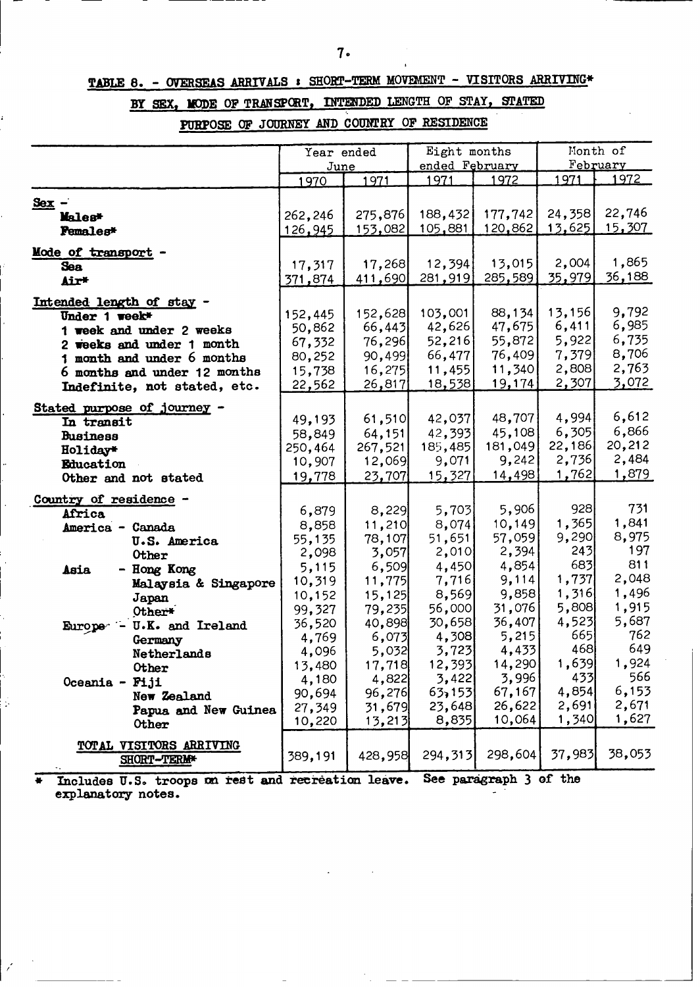# **TABLE 8. - OVERSEAS ARRIVALS s SHORT-TERM** MOVEMENT **- VISITORS ARRIVING\***

# **BY SEX, MODE OF TRANSPCRT, INTERRED LENGTH OF STAY, STATED**

**PURPOSE OF JOURNEY AND COUNTRY OF RESIDENCE**

|                                | Year ended      |                 | Eight months<br>ended February |                 |                  | Month of<br>February |
|--------------------------------|-----------------|-----------------|--------------------------------|-----------------|------------------|----------------------|
|                                | June<br>1970    | 1971            | 1971                           | 1972            | 1971             | 1972                 |
|                                |                 |                 |                                |                 |                  |                      |
| Sex                            |                 |                 |                                |                 |                  |                      |
| Males*                         | 262,246         | 275,876         | 188,432                        | 177,742         | 24,358<br>13,625 | 22,746<br>15,307     |
| Pemales*                       | 126,945         | <u>153,082</u>  | <u>105,881</u>                 | 120,862         |                  |                      |
| Mode of transport              |                 |                 |                                |                 |                  |                      |
| <b>Sea</b>                     | 17,317          | 17,268          | 12,394                         | 13,015          | 2,004            | 1,865                |
| Air*                           | 371,874         | 411,690         | 281,919                        | 285,589         | 35,979           | <u>36,188 </u>       |
| Intended length of stay -      |                 |                 |                                |                 |                  |                      |
| Under 1 week*                  | 152,445         | 152,628         | 103,001                        | 88,134          | 13,156           | 9,792                |
| 1 week and under 2 weeks       | 50,862          | 66,443          | 42,626                         | 47,675          | 6,411            | 6,985                |
| 2 weeks and under 1 month      | 67,332          | 76,296          | 52,216                         | 55,872          | 5,922            | 6,735                |
| month and under 6 months       | 80,252          | 90,499          | 66,477                         | 76,409          | 7,379            | 8,706                |
| 6 months and under 12 months   | 15,738          | 16,275          | 11,455                         | 11,340          | 2,808            | 2,763                |
| Indefinite, not stated, etc.   | 22,562          | 26,817          | 18,538                         | 19,174          | 2,307            | 3,072                |
|                                |                 |                 |                                |                 |                  |                      |
| Stated purpose of journey -    | 49,193          | 61,510          | 42,037                         | 48,707          | 4,994            | 6,612                |
| In transit                     | 58,849          | 64,151          | 42,393                         | 45,108          | 6,305            | 6,866                |
| <b>Business</b><br>Holiday*    | 250,464         | 267,521         | 185,485                        | 181,049         | 22,186           | 20,212               |
| Education                      | 10,907          | 12,069          | 9,071                          | 9,242           | 2,736            | 2,484                |
| Other and not stated           | 19,778          | 23,707          | 15,327                         | 14,498          | 1,762            | 1,879                |
|                                |                 |                 |                                |                 |                  |                      |
| Country of residence -         |                 |                 |                                |                 | 928              | 731                  |
| Africa                         | 6,879           | 8,229           | 5,703                          | 5,906           | 1,365            | 1,841                |
| America - Canada               | 8,858           | 11,210          | 8,074                          | 10,149          | 9,290            | 8,975                |
| <b>U.S. America</b>            | 55,135          | 78,107<br>3,057 | 51,651<br>2,010                | 57,059<br>2,394 | 243              | 197                  |
| Other                          | 2,098           | 6,509           | 4,450                          | 4,854           | 683              | 811                  |
| - Hong Kong<br>Asia            | 5,115<br>10,319 | 11,775          | 7,716                          | 9,114           | 1,737            | 2,048                |
| Malaysia & Singapore           | 10,152          | 15,125          | 8,569                          | 9,858           | 1,316            | 1,496                |
| Japan                          | 99,327          | 79,235          | 56,000                         | 31,076          | 5,808            | 1,915                |
| Other*<br>U.K. and Ireland     | 36,520          | 40,898          | 30,658                         | 36,407          | 4,523            | 5,687                |
| Europe <sup>-</sup><br>Germany | 4,769           | 6,073           | 4,308                          | 5,215           | 665              | 762                  |
| Netherlands                    | 4,096           | 5,032           | 3,723                          | 4,433           | 468              | 649                  |
| Other                          | 13,480          | 17,718          | 12,393                         | 14,290          | 1,639            | 1,924                |
| Oceania - Fiji                 | 4,180           | 4,822           | 3,422                          | 3,996           | 433              | 566                  |
| New Zealand                    | 90,694          | 96,276          | 63,153                         | 67,167          | 4,854            | 6,153                |
| Papua and New Guinea           | 27,349          | 31,679          | 23,648                         | 26,622          | 2,691            | 2,671                |
| <b>Other</b>                   | 10,220          | 13,213          | 8,835                          | 10,064          | 1,340            | 1,627                |
|                                |                 |                 |                                |                 |                  |                      |
| TOTAL VISITORS ARRIVING        | 389,191         | 428,958         | 294,313                        | 298,604         | 37,983           | 38,053               |
| SHORT-TERM*                    |                 |                 |                                |                 |                  |                      |

**Includes U.S. troops on rest and recreation leave.** See paragraph 3 of the **explanatory notes.**

 $\ddot{\phantom{a}}$  .